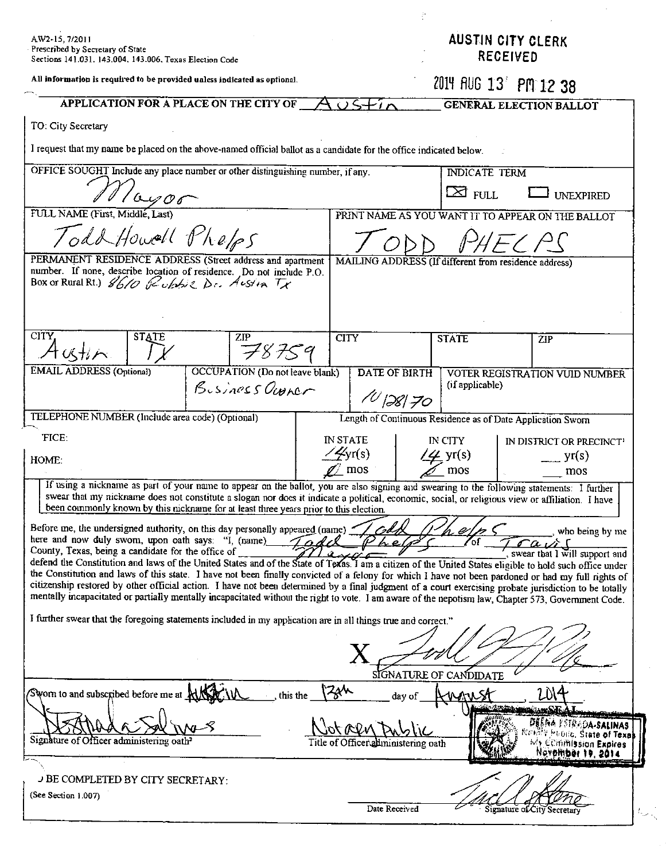| AW2-15, 7/2011<br>Prescribed by Secretary of State<br>Sections 141.031. 143.004, 143.006, Texas Election Code                                                                                                                                                                                                |                                     | <b>AUSTIN CITY CLERK</b><br><b>RECEIVED</b> |                                                         |  |
|--------------------------------------------------------------------------------------------------------------------------------------------------------------------------------------------------------------------------------------------------------------------------------------------------------------|-------------------------------------|---------------------------------------------|---------------------------------------------------------|--|
| All information is required to be provided unless indicated as optional.                                                                                                                                                                                                                                     |                                     | 2014 AUG 13 PM 12 38                        |                                                         |  |
| APPLICATION FOR A PLACE ON THE CITY OF<br>$\sqrt{2}$                                                                                                                                                                                                                                                         |                                     | <b>GENERAL ELECTION BALLOT</b>              |                                                         |  |
| TO: City Secretary                                                                                                                                                                                                                                                                                           |                                     |                                             |                                                         |  |
| I request that my name be placed on the above-named official ballot as a candidate for the office indicated below.                                                                                                                                                                                           |                                     |                                             |                                                         |  |
| OFFICE SOUGHT Include any place number or other distinguishing number, if any.                                                                                                                                                                                                                               |                                     | <b>INDICATE TERM</b>                        |                                                         |  |
| $^\prime\omega$ 00                                                                                                                                                                                                                                                                                           |                                     | $\boxtimes$ full                            | <b>UNEXPIRED</b>                                        |  |
| FULL NAME (First, Middle, Last)<br>PRINT NAME AS YOU WANT IT TO APPEAR ON THE BALLOT                                                                                                                                                                                                                         |                                     |                                             |                                                         |  |
| Todd Howall Phelps                                                                                                                                                                                                                                                                                           |                                     |                                             |                                                         |  |
| PERMANENT RESIDENCE ADDRESS (Street address and apartment<br>MAILING ADDRESS (If different from residence address)<br>number. If none, describe location of residence. Do not include P.O.                                                                                                                   |                                     |                                             |                                                         |  |
| Box or Rural Rt.) 8610 Rubbie Dr. Austin Tx                                                                                                                                                                                                                                                                  |                                     |                                             |                                                         |  |
|                                                                                                                                                                                                                                                                                                              |                                     |                                             |                                                         |  |
| CITY,<br><b>STATE</b><br><b>ZIP</b>                                                                                                                                                                                                                                                                          | <b>CITY</b>                         | <b>STATE</b>                                | ZIP                                                     |  |
| F8759<br>人ガノベ                                                                                                                                                                                                                                                                                                |                                     |                                             |                                                         |  |
| <b>EMAIL ADDRESS</b> (Optional)<br><b>OCCUPATION</b> (Do not leave blank)                                                                                                                                                                                                                                    | <b>DATE OF BIRTH</b>                | (if applicable)                             | VOTER REGISTRATION VUID NUMBER                          |  |
| Business Ourner                                                                                                                                                                                                                                                                                              | 10128170                            |                                             |                                                         |  |
| TELEPHONE NUMBER (Include area code) (Optional)<br>Length of Continuous Residence as of Date Application Sworn                                                                                                                                                                                               |                                     |                                             |                                                         |  |
| FICE.<br><b>IN STATE</b><br>IN CITY<br>IN DISTRICT OR PRECINCT <sup>1</sup>                                                                                                                                                                                                                                  |                                     |                                             |                                                         |  |
| $\angle$ gr(s)<br>HOME:<br>mos                                                                                                                                                                                                                                                                               |                                     | $4$ yr(s)<br>mos                            | $\Box$ yr(s)<br>mos                                     |  |
| If using a nickname as part of your name to appear on the ballot, you are also signing and swearing to the following statements: I further<br>swear that my nickname does not constitute a slogan nor does it indicate a political, economic, social, or religious view or affiliation. I have               |                                     |                                             |                                                         |  |
| been commonly known by this nickname for at least three years prior to this election.                                                                                                                                                                                                                        |                                     |                                             |                                                         |  |
| Before me, the undersigned authority, on this day personally appeared (name)<br>who being by me<br>here and now duly sworn, upon oath says: "I, (name)<br>$ra$ is s                                                                                                                                          |                                     |                                             |                                                         |  |
| County, Texas, being a candidate for the office of<br>swear that I will support and<br>defend the Constitution and laws of the United States and of the State of Texas. I am a citizen of the United States eligible to hold such office under                                                               |                                     |                                             |                                                         |  |
| the Constitution and laws of this state. I have not been finally convicted of a felony for which I have not been pardoned or had my full rights of<br>citizenship restored by other official action. I have not been determined by a final judgment of a court exercising probate jurisdiction to be totally |                                     |                                             |                                                         |  |
| mentally incapacitated or partially mentally incapacitated without the right to vote. I am aware of the nepotism law, Chapter 573, Government Code.                                                                                                                                                          |                                     |                                             |                                                         |  |
| I further swear that the foregoing statements included in my application are in all things true and correct."                                                                                                                                                                                                |                                     |                                             |                                                         |  |
|                                                                                                                                                                                                                                                                                                              |                                     |                                             |                                                         |  |
|                                                                                                                                                                                                                                                                                                              |                                     |                                             |                                                         |  |
|                                                                                                                                                                                                                                                                                                              | 220                                 | SIGNATURE OF CANDIDATE                      |                                                         |  |
| Swom to and subscribed before me at AIN<br>this the                                                                                                                                                                                                                                                          | day of                              |                                             |                                                         |  |
|                                                                                                                                                                                                                                                                                                              |                                     |                                             | Defina Pstrada-salinas<br><b>Medito, State of Texal</b> |  |
| Signature of Officer administering oath <sup>2</sup>                                                                                                                                                                                                                                                         | Title of Officer administering oath |                                             | My Commission Expires<br>Nevpinber 19, 2014             |  |
|                                                                                                                                                                                                                                                                                                              |                                     |                                             |                                                         |  |
| J BE COMPLETED BY CITY SECRETARY:<br>(See Section 1.007)                                                                                                                                                                                                                                                     |                                     |                                             |                                                         |  |
|                                                                                                                                                                                                                                                                                                              | Date Received                       |                                             | Signature of City Secretary                             |  |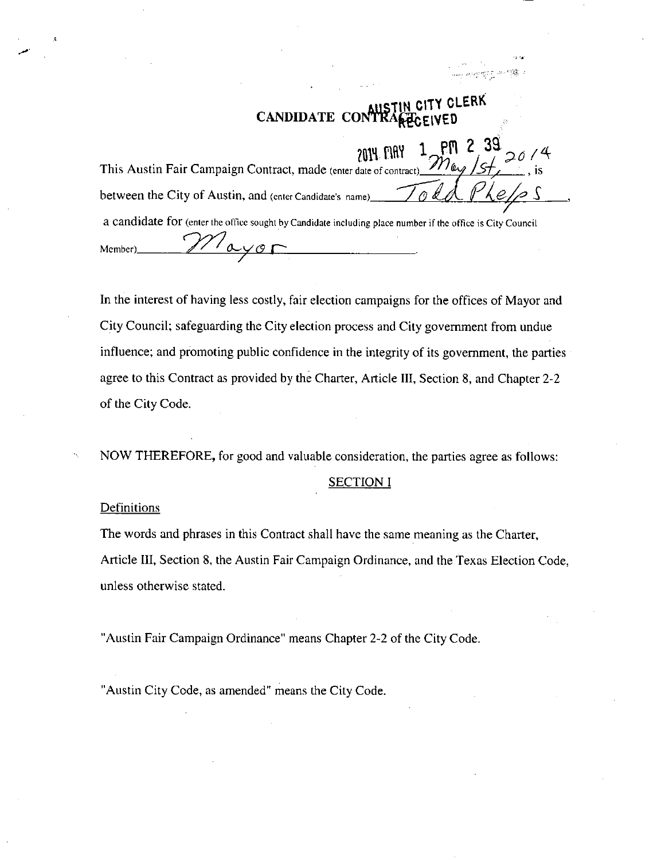# **MiSTlN CITY CLERK CANDIDATE** CON

| This Austin Fair Campaign Contract, made (enter date of contract) $\frac{2014}{100}$ $\frac{1}{20}$ $\frac{97}{100}$ $\frac{20}{100}$ , is |
|--------------------------------------------------------------------------------------------------------------------------------------------|
|                                                                                                                                            |
| between the City of Austin, and (enter Candidate's name) $\bigotimes_{\ell} \mathcal{A}_{\ell}$                                            |
| a candidate for (enter the office sought by Candidate including place number if the office is City Council                                 |
|                                                                                                                                            |
| Member)                                                                                                                                    |

In the interest of having less costly, fair election campaigns for the offices of Mayor and City Council; safeguarding the City election process and City government from undue influence; and promoting public confidence in the integrity of its government, the parties agree to this Contract as provided by the Charter, Article III, Section 8, and Chapter 2-2 of the City Code.

NOW THEREFORE, for good and valuable consideration, the parties agree as follows:

#### SECTION I

#### **Definitions**

The words and phrases in this Contract shall have the same meaning as the Charter, Article III, Section 8, the Austin Fair Campaign Ordinance, and the Texas Election Code, unless otherwise stated.

"Austin Fair Campaign Ordinance" means Chapter 2-2 of the City Code.

"Austin City Code, as amended" means the City Code.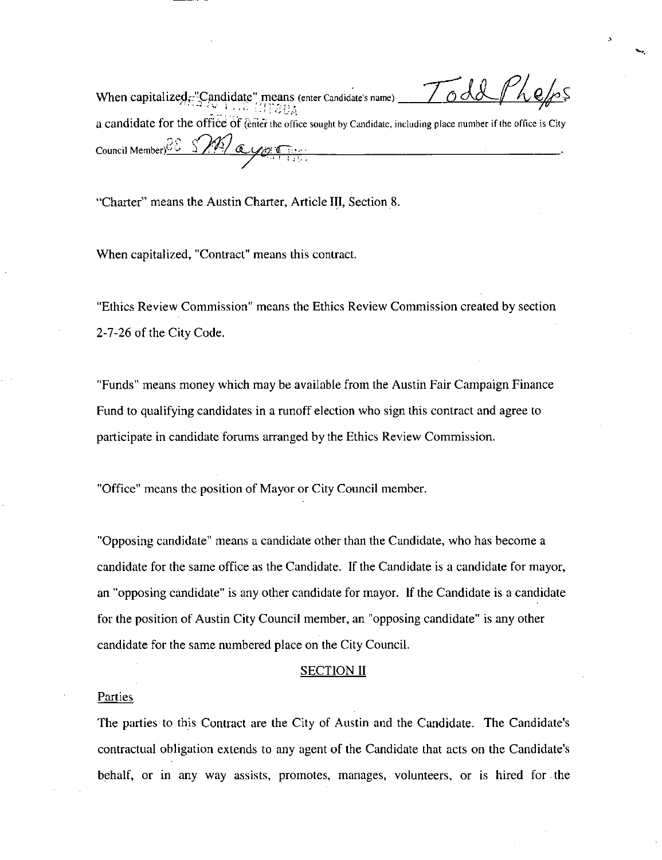When capitalized,: "Candidate" means (enter Candidate's name)  $\frac{1}{2}$ a candidate for the office of (enter the office sought by Candidate, including place number if the office is City Council Member) $\frac{2E-S}{\sqrt{2}}$  (c

"Charter" means the Austin Charter, Article III, Section 8.

When capitalized, "Contract" means this contract.

"Ethics Review Commission" means the Ethics Review Commission created by section 2-7-26 of the City Code.

"Funds" means money which may be available from the Austin Fair Campaign Finance Fund to qualifying candidates in a runoff election who sign this contract and agree to participate in candidate forums arranged by the Ethics Review Commission.

"Office" means the position of Mayor or City Council member.

"Opposing candidate" means a candidate other than the Candidate, who has become a candidate for the same office as the Candidate. If the Candidate is a candidate for mayor, an "opposing candidate" is any other candidate for mayor. If the Candidate is a candidate for the position of Austin City Council member, an "opposing candidate" is any other candidate for the same numbered place on the City Council.

#### SECTION II

#### Parties

The parties to this Contract are the City of Austin and the Candidate. The Candidate's contractual obligation extends to any agent of the Candidate that acts on the Candidate's behalf, or in any way assists, promotes, manages, volunteers, or is hired for the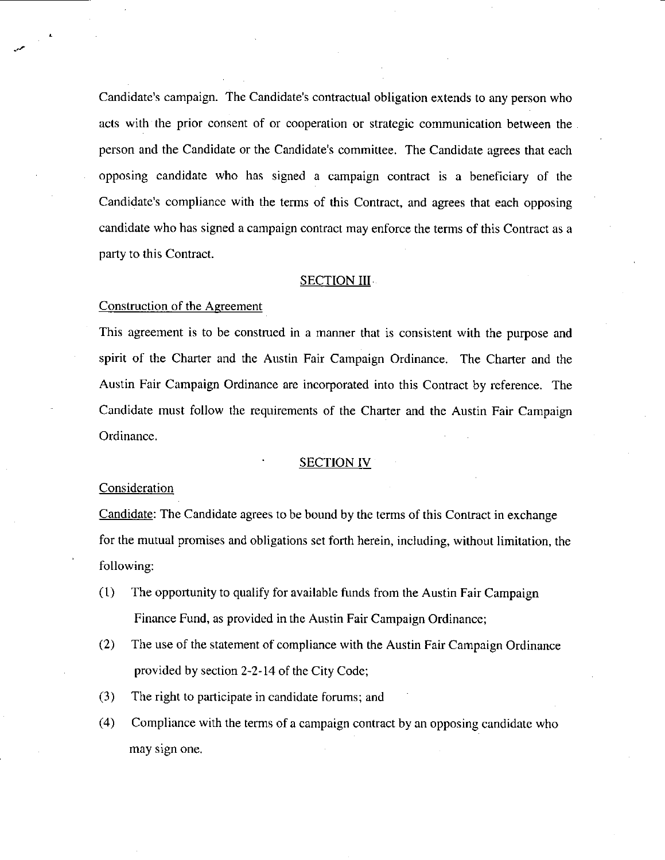Candidate's campaign. The Candidate's contractual obligation extends to any person who acts with the prior consent of or cooperation or strategic communication between the person and the Candidate or the Candidate's committee. The Candidate agrees that each opposing candidate who has signed a campaign contract is a beneficiary of the Candidate's compliance with the terms of this Contract, and agrees that each opposing candidate who has signed a campaign contract may enforce the terms of this Contract as a party to this Contract.

## **SECTION III**

## Construction of the Agreement

This agreement is to be construed in a manner that is consistent with the purpose and spirit of the Charter and the Austin Fair Campaign Ordinance. The Charter and the Austin Fair Campaign Ordinance are incorporated into this Contract by reference. The Candidate must follow the requirements of the Charter and the Austin Fair Campaign Ordinance.

## **SECTION IV**

## Consideration

Candidate: The Candidate agrees to be bound by the terms of this Contract in exchange for the mutual promises and obligations set forth herein, including, without limitation, the following:

- (1) The opportunity to qualify for available funds from the Austin Fair Campaign Finance Fund, as provided in the Austin Fair Campaign Ordinance;
- (2) The use of the statement of compliance with the Austin Fair Campaign Ordinance provided by section 2-2-14 of the City Code;
- (3) The right to participate in candidate forums; and
- (4) Compliance with the terms of a campaign contract by an opposing candidate who may sign one.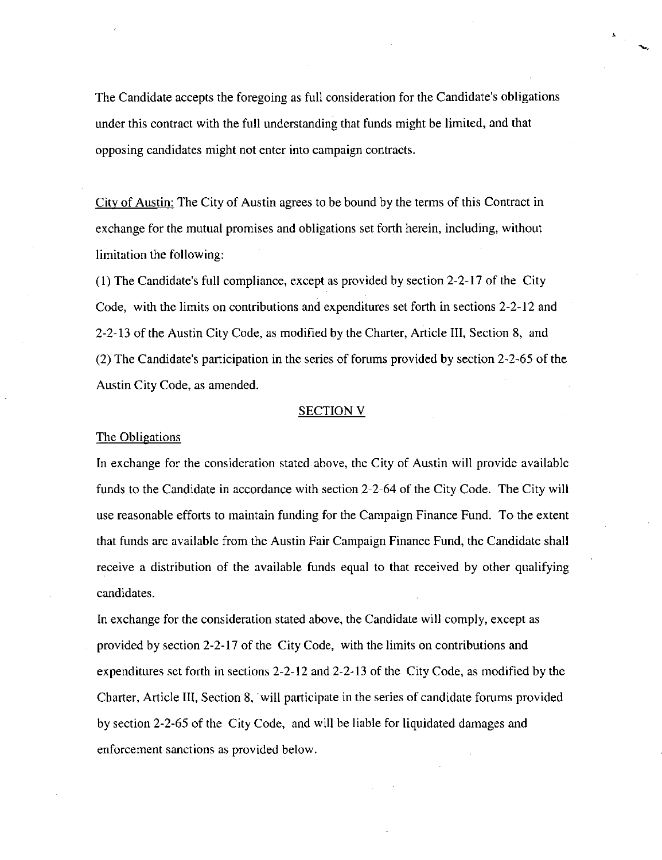The Candidate accepts the foregoing as full consideration for the Candidate's obligations under this contract with the full understanding that funds might be limited, and that opposing candidates might not enter into campaign contracts.

City of Austin: The City of Austin agrees to be bound by the terms of this Contract in exchange for the mutual promises and obligations set forth herein, including, without limitation the following:

(1) The Candidate's full compliance, except as provided by section 2-2-17 of the City Code, with the limits on contributions and expenditures set forth in sections 2-2-12 and 2-2-13 of the Austin City Code, as modified by the Charter, Article III, Section 8, and (2) The Candidate's participation in the series of forums provided by section 2-2-65 of the Austin City Code, as amended.

#### SECTION V

#### The Obligations

In exchange for the consideration stated above, the City of Austin will provide available funds to the Candidate in accordance with section 2-2-64 of the City Code. The City will use reasonable efforts to maintain funding for the Campaign Finance Fund. To the extent that funds are available from the Austin Fair Campaign Finance Fund, the Candidate shall receive a distribution of the available funds equal to that received by other qualifying candidates.

In exchange for the consideration stated above, the Candidate will comply, except as provided by section 2-2-17 of the City Code, with the limits on contributions and expenditures set forth in sections 2-2-12 and 2-2-13 of the City Code, as modified by the Charter, Article III, Section 8, will participate in the series of candidate forums provided by section 2-2-65 of the City Code, and will be liable for liquidated damages and enforcement sanctions as provided below.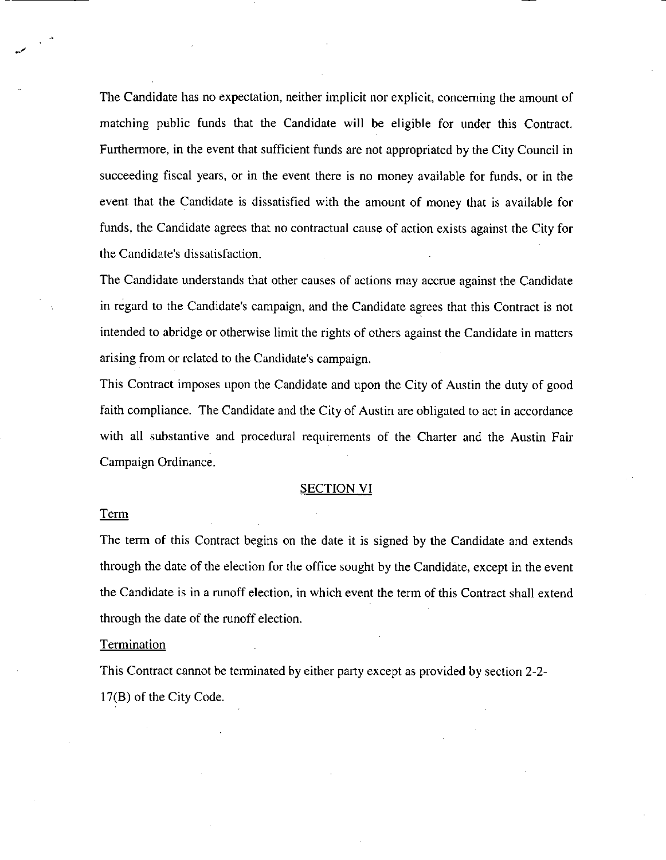The Candidate has no expectation, neither implicit nor explicit, concerning the amount of matching public funds that the Candidate will be eligible for under this Contract. Furthermore, in the event that sufficient funds are not appropriated by the City Council in succeeding fiscal years, or in the event there is no money available for funds, or in the event that the Candidate is dissatisfied with the amount of money that is available for funds, the Candidate agrees that no contractual cause of action exists against the City for the Candidate's dissatisfaction.

The Candidate understands that other causes of actions may accrue against the Candidate in regard to the Candidate's campaign, and the Candidate agrees that this Contract is not intended to abridge or otherwise limit the rights of others against the Candidate in matters arising from or related to the Candidate's campaign.

This Contract imposes upon the Candidate and upon the City of Austin the duty of good faith compliance. The Candidate and the City of Austin are obligated to act in accordance with all substantive and procedural requirements of the Charter and the Austin Fair Campaign Ordinance.

#### SECTION VI

#### Term

The term of this Contract begins on the date it is signed by the Candidate and extends through the date of the election for the office sought by the Candidate, except in the event the Candidate is in a mnoff election, in which event the term of this Contract shall extend through the date of the runoff election.

#### **Termination**

This Contract cannot be terminated by either party except as provided by section 2-2- 17(B) of the City Code.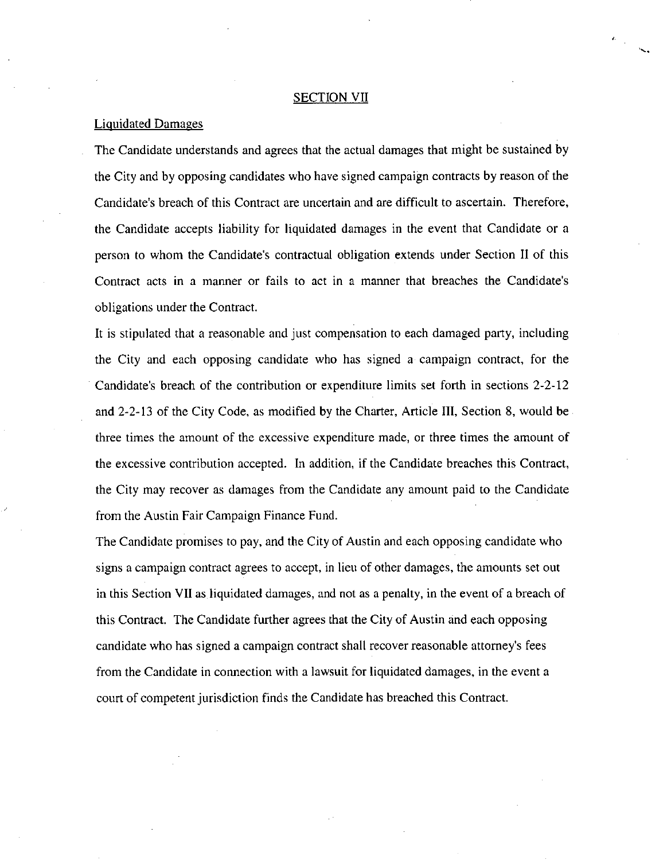#### SECTION VII

## Liquidated Damages

The Candidate understands and agrees that the actual damages that might be sustained by the City and by opposing candidates who have signed campaign contracts by reason of the Candidate's breach of this Contract are uncertain and are difficult to ascertain. Therefore, the Candidate accepts liability for liquidated damages in the event that Candidate or a person to whom the Candidate's contractual obligation extends under Section II of this Contract acts in a manner or fails to act in a manner that breaches the Candidate's obligations under the Contract.

It is stipulated that a reasonable and just compensation to each damaged party, including the City and each opposing candidate who has signed a campaign contract, for the Candidate's breach of the contribution or expenditure limits set forth in sections 2-2-12 and 2-2-13 of the City Code, as modified by the Charter, Article III, Section 8, would be three times the amount of the excessive expenditure made, or three times the amount of the excessive contribution accepted. In addition, if the Candidate breaches this Contract, the City may recover as damages from the Candidate any amount paid to the Candidate from the Austin Fair Campaign Finance Fund.

The Candidate promises to pay, and the City of Austin and each opposing candidate who signs a campaign contract agrees to accept, in lieu of other damages, the amounts set out in this Section VII as liquidated damages, and not as a penalty, in the event of a breach of this Contract. The Candidate further agrees that the City of Austin and each opposing candidate who has signed a campaign contract shall recover reasonable attorney's fees from the Candidate in connection with a lawsuit for liquidated damages, in the event a court of competent jurisdiction finds the Candidate has breached this Contract.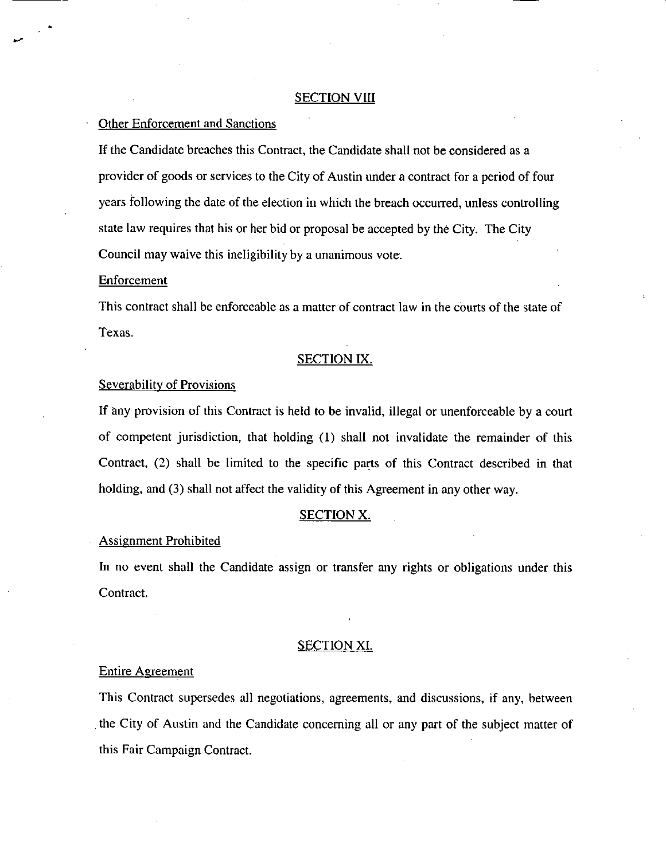#### **SECTION VIII**

## Other Enforcement and Sanctions

If the Candidate breaches this Contract, the Candidate shall not be considered as a provider of goods or services to the City of Austin under a contract for a period of four years following the date of the election in which the breach occurred, unless controlling state law requires that his or her bid or proposal be accepted by the City. The City Council may waive this ineligibility by a unanimous vote.

#### **Enforcement**

This contract shall be enforceable as a matter of contract law in the courts of the state of Texas.

#### SECTION IX.

#### Severability of Provisions

If any provision of this Contract is held to be invalid, illegal or unenforceable by a court of competent jurisdiction, that holding (1) shall not invalidate the remainder of this Contract, (2) shall be limited to the specific parts of this Contract described in that holding, and (3) shall not affect the validity of this Agreement in any other way.

#### SECTION X.

#### Assignment Prohibited

In no event shall the Candidate assign or transfer any rights or obligations under this Contract.

## SECTION XI.

#### Entire Agreement

This Contract supersedes all negotiations, agreements, and discussions, if any, between the City of Austin and the Candidate concerning all or any part of the subject matter of this Fair Campaign Contract.